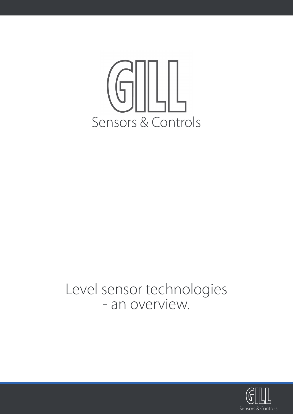

# Level sensor technologies - an overview.

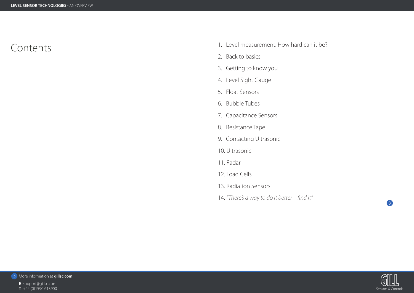

- **E** support@gillsc.com
- 
- 



# **TEVEL SENSOR TECHNOLOGIES** - AN OVERVIEW<br> **CONTENTS**<br> **T** +44 (0)1590 613900<br> **T** +44 (0)1590 613900 Contents

- 1. Level measurement. How hard can it be?
- 2. Back to basics
- 3. Getting to know you
- 4. Level Sight Gauge
- 5. Float Sensors
- 6. Bubble Tubes
- 7. Capacitance Sensors
- 8. Resistance Tape
- 9. Contacting Ultrasonic
- 10. Ultrasonic
- 11. Radar
- 12. Load Cells
- 13. Radiation Sensors
- 14. *"There's a way to do it better find it"*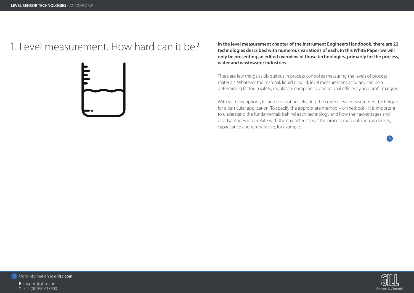# 1. Level measurement chapter of the Instrument Engineers Handbook, there are 22<br> **In the level measurement chapter of the Instrument Engineers Handbook, there are 22**<br> **In the level measurement chapter of the Instrument En**



More information at **gillsc.com**

**E** support@gillsc.com





**technologies described with numerous variations of each. In this White Paper we will only be presenting an edited overview of those technologies, primarily for the process, water and wastewater industries.**

There are few things as ubiquitous in process control as measuring the levels of process materials. Whatever the material, liquid or solid, level measurement accuracy can be a determining factor in safety, regulatory compliance, operational efficiency and profit margins.

With so many options, it can be daunting selecting the correct level measurement technique for a particular application. To specify the appropriate method – or methods - it is important to understand the fundamentals behind each technology and how their advantages and disadvantages inter-relate with the characteristics of the process material, such as density, capacitance and temperature, for example.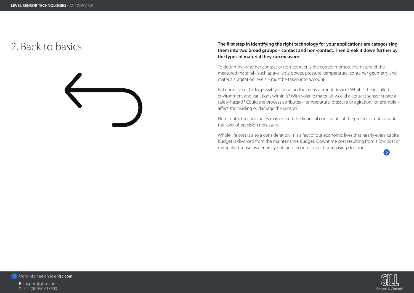# **THE SENSOR TECHNOLOGIES** - AN OVERVIEW<br> **T** +44 (0)1590 613900<br> **T** +44 (0)1590 613900



More information at **gillsc.com**

**E** support@gillsc.com



# The first step in identifying the right technology for your applications are categorising<br>them into two broad groups – contact and non-contact. Then break it down further by **the types of material they can measure.**

To determine whether contact or non-contact is the correct method, the nature of the measured material– such as available power, pressure, temperature, container geometry and materials, agitation levels – must be taken into account.

Is it corrosive or tacky, possibly damaging the measurement device? What is the installed environment and variations within it? With volatile materials would a contact sensor create a safety hazard? Could the process attributes – temperature, pressure or agitation, for example – affect the reading or damage the sensor?

Non-contact technologies may exceed the financial constraints of the project or not provide the level of precision necessary.

Whole life cost is also a consideration. It is a fact of our economic lives that nearly every capital budget is divorced from the maintenance budget. Downtime cost resulting from a low cost or misapplied sensor is generally not factored into project purchasing decisions.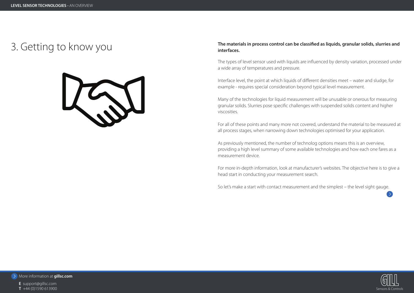

**E** support@gillsc.com





# 3. Getting to know you **The materials in process control can be classified as liquids, granular solids, slurries and interfaces.**

The types of level sensor used with liquids are influenced by density variation, processed under a wide array of temperatures and pressure.

Interface level, the point at which liquids of different densities meet – water and sludge, for example - requires special consideration beyond typical level measurement.

Many of the technologies for liquid measurement will be unusable or onerous for measuring granular solids. Slurries pose specific challenges with suspended solids content and higher viscosities.

For all of these points and many more not covered, understand the material to be measured at all process stages, when narrowing down technologies optimised for your application.

As previously mentioned, the number of technolog options means this is an overview, providing a high level summary of some available technologies and how each one fares as a measurement device.

For more in-depth information, look at manufacturer's websites. The objective here is to give a head start in conducting your measurement search.

So let's make a start with contact measurement and the simplest – the level sight gauge.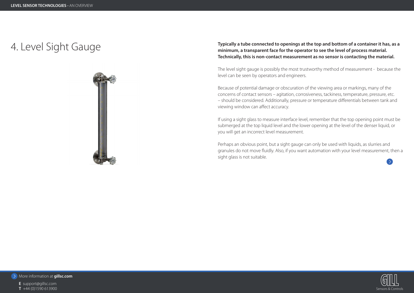# **THE SENSOR TECHNOLOGIES** - AN OVERVIEW<br> **T** +44 (0)1590 613900<br> **T** +44 (0)1590 613900





More information at **gillsc.com**

**E** support@gillsc.com

- 
- 



# 4. Level Sight Gauge **Typically a tube connected to openings at the top and bottom of a container it has, as a minimum, a transparent face for the operator to see the level of process material. Technically, this is non-contact measurement as no sensor is contacting the material.**

The level sight gauge is possibly the most trustworthy method of measurement - because the level can be seen by operators and engineers.

Because of potential damage or obscuration of the viewing area or markings, many of the concerns of contact sensors – agitation, corrosiveness, tackiness, temperature, pressure, etc. – should be considered. Additionally, pressure or temperature differentials between tank and viewing window can affect accuracy.

If using a sight glass to measure interface level, remember that the top opening point must be submerged at the top liquid level and the lower opening at the level of the denser liquid, or you will get an incorrect level measurement.

Perhaps an obvious point, but a sight gauge can only be used with liquids, as slurries and granules do not move fluidly. Also, if you want automation with your level measurement, then a sight glass is not suitable.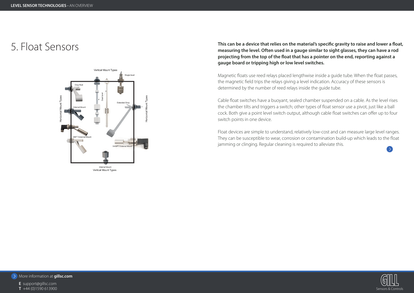

**E** support@gillsc.com

- 
- 





This can be a device that relies on the material's specific gravity to raise and lower a float,<br>This can be a device that relies on the material's specific gravity to raise and lower a float,<br>measuring the level. Often use **projecting from the top of the float that has a pointer on the end, reporting against a gauge board or tripping high or low level switches.**

> Float devices are simple to understand, relatively low-cost and can measure large level ranges. They can be susceptible to wear, corrosion or contamination build-up which leads to the float jamming or clinging. Regular cleaning is required to alleviate this.

Magnetic floats use reed relays placed lengthwise inside a guide tube. When the float passes, the magnetic field trips the relays giving a level indication. Accuracy of these sensors is determined by the number of reed relays inside the guide tube.

Cable float switches have a buoyant, sealed chamber suspended on a cable. As the level rises the chamber tilts and triggers a switch; other types of float sensor use a pivot, just like a ball cock. Both give a point level switch output, although cable float switches can offer up to four switch points in one device.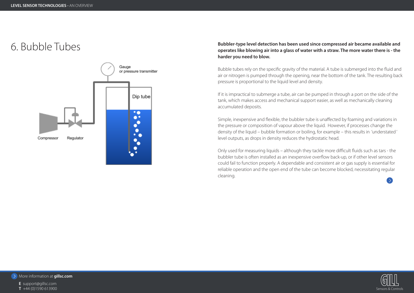

- **E** support@gillsc.com
- 
- 





# **bubbler-type level detection has been used since compressed air became available and and sexual properates like blowing air into a glass of water with a straw. The more water there is - the straw. The more water there is harder you need to blow.**

Bubble tubes rely on the specific gravity of the material. A tube is submerged into the fluid and air or nitrogen is pumped through the opening, near the bottom of the tank. The resulting back pressure is proportional to the liquid level and density.

If it is impractical to submerge a tube, air can be pumped in through a port on the side of the tank, which makes access and mechanical support easier, as well as mechanically cleaning accumulated deposits.

Simple, inexpensive and flexible, the bubbler tube is unaffected by foaming and variations in the pressure or composition of vapour above the liquid. However, if processes change the density of the liquid – bubble formation or boiling, for example – this results in 'understated ' level outputs, as drops in density reduces the hydrostatic head.

Only used for measuring liquids – although they tackle more difficult fluids such as tars - the bubbler tube is often installed as an inexpensive overflow back-up, or if other level sensors could fail to function properly. A dependable and consistent air or gas supply is essential for reliable operation and the open end of the tube can become blocked, necessitating regular cleaning.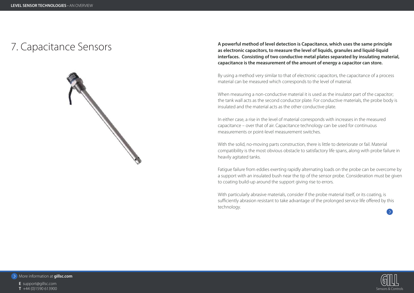

**E** support@gillsc.com

- 
- 





# 7. Capacitance Sensors **A powerful method of level detection is Capacitance, which uses the same principle**

**as electronic capacitors, to measure the level of liquids, granules and liquid-liquid interfaces. Consisting of two conductive metal plates separated by insulating material, capacitance is the measurement of the amount of energy a capacitor can store.**

When measuring a non-conductive material it is used as the insulator part of the capacitor; the tank wall acts as the second conductor plate. For conductive materials, the probe body is insulated and the material acts as the other conductive plate.

By using a method very similar to that of electronic capacitors, the capacitance of a process material can be measured which corresponds to the level of material.

In either case, a rise in the level of material corresponds with increases in the measured capacitance – over that of air. Capacitance technology can be used for continuous measurements or point-level measurement switches.

With the solid, no-moving parts construction, there is little to deteriorate or fail. Material compatibility is the most obvious obstacle to satisfactory life spans, along with probe failure in heavily agitated tanks.

Fatigue failure from eddies exerting rapidly alternating loads on the probe can be overcome by a support with an insulated bush near the tip of the sensor probe. Consideration must be given to coating build-up around the support giving rise to errors.

With particularly abrasive materials, consider if the probe material itself, or its coating, is sufficiently abrasion resistant to take advantage of the prolonged service life offered by this technology.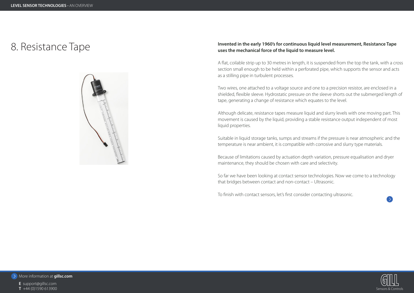

**E** support@gillsc.com





# 8. Resistance Tape **Invented in the early 1960's for continuous liquid level measurement, Resistance Tape uses the mechanical force of the liquid to measure level.**

A flat, coilable strip up to 30 metres in length, it is suspended from the top the tank, with a cross section small enough to be held within a perforated pipe, which supports the sensor and acts as a stilling pipe in turbulent processes.

Two wires, one attached to a voltage source and one to a precision resistor, are enclosed in a shielded, flexible sleeve. Hydrostatic pressure on the sleeve shorts out the submerged length of tape, generating a change of resistance which equates to the level.

Although delicate, resistance tapes measure liquid and slurry levels with one moving part. This movement is caused by the liquid, providing a stable resistance output independent of most liquid properties.

Suitable in liquid storage tanks, sumps and streams if the pressure is near atmospheric and the temperature is near ambient, it is compatible with corrosive and slurry type materials.

Because of limitations caused by actuation depth variation, pressure equalisation and dryer maintenance, they should be chosen with care and selectivity.

So far we have been looking at contact sensor technologies. Now we come to a technology that bridges between contact and non-contact – Ultrasonic.

To finish with contact sensors, let's first consider contacting ultrasonic.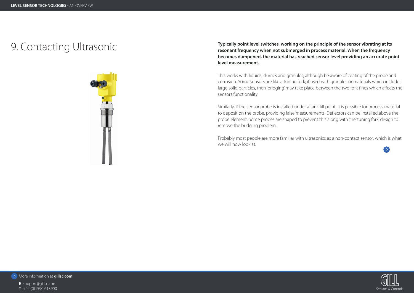

**E** support@gillsc.com

- 
- 



# **THE SENSOR TECHNOLOGIES** - AN OVERVIEW<br> **T** +44 (0)1590 613900<br> **T** +44 (0)1590 613900 9. Contacting Ultrasonic **Typically point level switches, working on the principle of the sensor vibrating at its**



**resonant frequency when not submerged in process material. When the frequency becomes dampened, the material has reached sensor level providing an accurate point level measurement.**

This works with liquids, slurries and granules, although be aware of coating of the probe and corrosion. Some sensors are like a tuning fork; if used with granules or materials which includes large solid particles, then 'bridging' may take place between the two fork tines which affects the sensors functionality.

Similarly, if the sensor probe is installed under a tank fill point, it is possible for process material to deposit on the probe, providing false measurements. Deflectors can be installed above the probe element. Some probes are shaped to prevent this along with the 'tuning fork' design to remove the bridging problem.

Probably most people are more familiar with ultrasonics as a non-contact sensor, which is what we will now look at.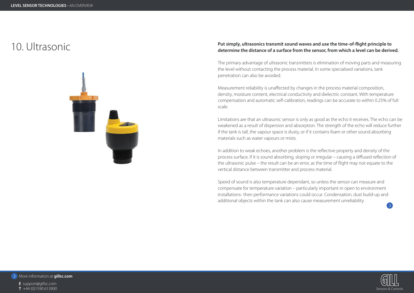

- **E** support@gillsc.com
- 
- 





# Put simply, ultrasonics transmit sound waves and use the time-of-flight principle to<br>determine the distance of a surface from the sensor, from which a level can be derived.

The primary advantage of ultrasonic transmitters is elimination of moving parts and measuring the level without contacting the process material. In some specialised variations, tank penetration can also be avoided.

Measurement reliability is unaffected by changes in the process material composition, density, moisture content, electrical conductivity and dielectric constant. With temperature compensation and automatic self-calibration, readings can be accurate to within 0.25% of full scale.

Limitations are that an ultrasonic sensor is only as good as the echo it receives. The echo can be weakened as a result of dispersion and absorption. The strength of the echo will reduce further if the tank is tall, the vapour space is dusty, or if it contains foam or other sound absorbing materials such as water vapours or mists.

In addition to weak echoes, another problem is the reflective property and density of the process surface. If it is sound absorbing, sloping or irregular – causing a diffused reflection of the ultrasonic pulse – the result can be an error, as the time of flight may not equate to the vertical distance between transmitter and process material.

Speed of sound is also temperature dependant, so unless the sensor can measure and compensate for temperature variation – particularly important in open to environment installations- then performance variations could occur. Condensation, dust build-up and additional objects within the tank can also cause measurement unreliability.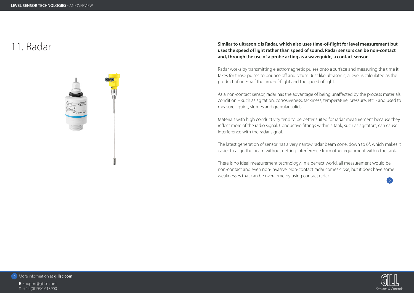

**E** support@gillsc.com





# Similar to ultrasonic is Radar, which also uses time-of-flight for level measurement but<br>uses the speed of light rather than speed of sound. Radar sensors can be non-contact **and, through the use of a probe acting as a waveguide, a contact sensor.**

Radar works by transmitting electromagnetic pulses onto a surface and measuring the time it takes for those pulses to bounce off and return. Just like ultrasonic, a level is calculated as the product of one-half the time-of-flight and the speed of light.

The latest generation of sensor has a very narrow radar beam cone, down to 6°, which makes it easier to align the beam without getting interference from other equipment within the tank.

As a non-contact sensor, radar has the advantage of being unaffected by the process materials condition – such as agitation, corrosiveness, tackiness, temperature, pressure, etc. - and used to measure liquids, slurries and granular solids.

Materials with high conductivity tend to be better suited for radar measurement because they reflect more of the radio signal. Conductive fittings within a tank, such as agitators, can cause interference with the radar signal.

There is no ideal measurement technology. In a perfect world, all measurement would be non-contact and even non-invasive. Non-contact radar comes close, but it does have some weaknesses that can be overcome by using contact radar.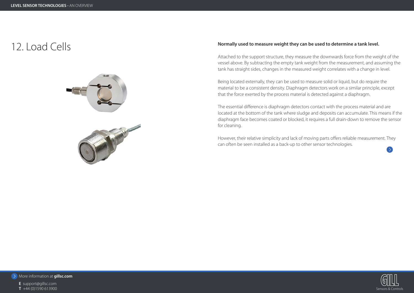# **12.** Load Cells **Normally used to measure weight they can be used to determine a tank level.**



More information at **gillsc.com**

**E** support@gillsc.com





Attached to the support structure, they measure the downwards force from the weight of the vessel above. By subtracting the empty tank weight from the measurement, and assuming the tank has straight sides, changes in the measured weight correlates with a change in level.

Being located externally, they can be used to measure solid or liquid, but do require the material to be a consistent density. Diaphragm detectors work on a similar principle, except that the force exerted by the process material is detected against a diaphragm.

The essential difference is diaphragm detectors contact with the process material and are located at the bottom of the tank where sludge and deposits can accumulate. This means if the diaphragm face becomes coated or blocked, it requires a full drain-down to remove the sensor for cleaning.

However, their relative simplicity and lack of moving parts offers reliable measurement. They can often be seen installed as a back-up to other sensor technologies.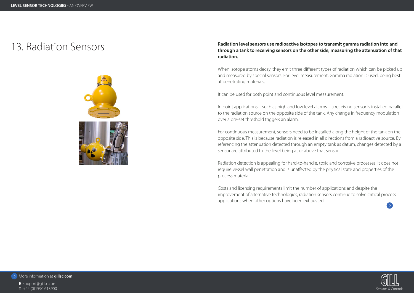

**E** support@gillsc.com

- 
- 





# adiation level sensors use radioactive isotopes to transmit gamma radiation into and<br>through a tank to receiving concers on the other side, measuring the attenuation of the **through a tank to receiving sensors on the other side, measuring the attenuation of that radiation.**

When Isotope atoms decay, they emit three different types of radiation which can be picked up and measured by special sensors. For level measurement, Gamma radiation is used, being best at penetrating materials.

It can be used for both point and continuous level measurement.

In point applications – such as high and low level alarms – a receiving sensor is installed parallel to the radiation source on the opposite side of the tank. Any change in frequency modulation over a pre-set threshold triggers an alarm.

For continuous measurement, sensors need to be installed along the height of the tank on the opposite side. This is because radiation is released in all directions from a radioactive source. By referencing the attenuation detected through an empty tank as datum, changes detected by a sensor are attributed to the level being at or above that sensor.

Radiation detection is appealing for hard-to-handle, toxic and corrosive processes. It does not require vessel wall penetration and is unaffected by the physical state and properties of the process material.

Costs and licensing requirements limit the number of applications and despite the improvement of alternative technologies, radiation sensors continue to solve critical process applications when other options have been exhausted.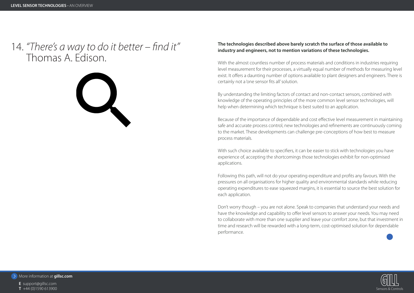

- **E** support@gillsc.com
- 
- 



# 14. *"There's a way to do it better – find it"* **The technologies described above barely scratch the surface of those available to industry and engineers, not to mention variations of these technologies.**

With the almost countless number of process materials and conditions in industries requiring level measurement for their processes, a virtually equal number of methods for measuring level exist. It offers a daunting number of options available to plant designers and engineers. There is certainly not a 'one sensor fits all' solution.

With such choice available to specifiers, it can be easier to stick with technologies you have experience of, accepting the shortcomings those technologies exhibit for non-optimised applications.

By understanding the limiting factors of contact and non-contact sensors, combined with knowledge of the operating principles of the more common level sensor technologies, will help when determining which technique is best suited to an application.

# **There's a way to the Thomas A. Edis**<br> **Thomas A. Edis**<br> **Thomas A. Edis**<br> **E** support@gills.com<br> **E** support@gills.com<br> **T** +44 (0)1590 613900 Thomas A. Edison.



Because of the importance of dependable and cost effective level measurement in maintaining safe and accurate process control, new technologies and refinements are continuously coming to the market. These developments can challenge pre-conceptions of how best to measure process materials.

Following this path, will not do your operating expenditure and profits any favours. With the pressures on all organisations for higher quality and environmental standards while reducing operating expenditures to ease squeezed margins, it is essential to source the best solution for each application.

Don't worry though – you are not alone. Speak to companies that understand your needs and have the knowledge and capability to offer level sensors to answer your needs. You may need to collaborate with more than one supplier and leave your comfort zone, but that investment in time and research will be rewarded with a long-term, cost-optimised solution for dependable performance.